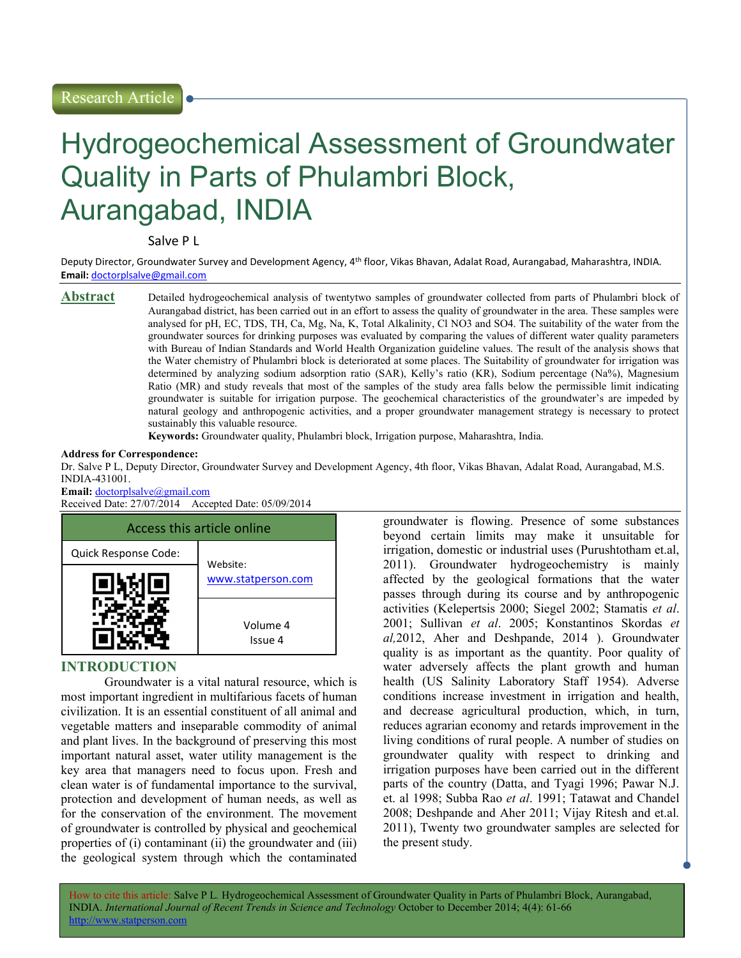# Hydrogeochemical Assessment of Groundwater Quality in Parts of Phulambri Block, Aurangabad, INDIA

Salve P L

Deputy Director, Groundwater Survey and Development Agency, 4th floor, Vikas Bhavan, Adalat Road, Aurangabad, Maharashtra, INDIA. Email: doctorplsalve@gmail.com

**Abstract** Detailed hydrogeochemical analysis of twentytwo samples of groundwater collected from parts of Phulambri block of Aurangabad district, has been carried out in an effort to assess the quality of groundwater in the area. These samples were analysed for pH, EC, TDS, TH, Ca, Mg, Na, K, Total Alkalinity, Cl NO3 and SO4. The suitability of the water from the groundwater sources for drinking purposes was evaluated by comparing the values of different water quality parameters with Bureau of Indian Standards and World Health Organization guideline values. The result of the analysis shows that the Water chemistry of Phulambri block is deteriorated at some places. The Suitability of groundwater for irrigation was determined by analyzing sodium adsorption ratio (SAR), Kelly's ratio (KR), Sodium percentage (Na%), Magnesium Ratio (MR) and study reveals that most of the samples of the study area falls below the permissible limit indicating groundwater is suitable for irrigation purpose. The geochemical characteristics of the groundwater's are impeded by natural geology and anthropogenic activities, and a proper groundwater management strategy is necessary to protect sustainably this valuable resource.

Keywords: Groundwater quality, Phulambri block, Irrigation purpose, Maharashtra, India.

#### Address for Correspondence:

Dr. Salve P L, Deputy Director, Groundwater Survey and Development Agency, 4th floor, Vikas Bhavan, Adalat Road, Aurangabad, M.S. INDIA-431001.

Email: doctorplsalve@gmail.com

Received Date: 27/07/2014 Accepted Date: 05/09/2014



# INTRODUCTION

Groundwater is a vital natural resource, which is most important ingredient in multifarious facets of human civilization. It is an essential constituent of all animal and vegetable matters and inseparable commodity of animal and plant lives. In the background of preserving this most important natural asset, water utility management is the key area that managers need to focus upon. Fresh and clean water is of fundamental importance to the survival, protection and development of human needs, as well as for the conservation of the environment. The movement of groundwater is controlled by physical and geochemical properties of (i) contaminant (ii) the groundwater and (iii) the geological system through which the contaminated

groundwater is flowing. Presence of some substances beyond certain limits may make it unsuitable for irrigation, domestic or industrial uses (Purushtotham et.al, 2011). Groundwater hydrogeochemistry is mainly affected by the geological formations that the water passes through during its course and by anthropogenic activities (Kelepertsis 2000; Siegel 2002; Stamatis et al. 2001; Sullivan et al. 2005; Konstantinos Skordas et al,2012, Aher and Deshpande, 2014 ). Groundwater quality is as important as the quantity. Poor quality of water adversely affects the plant growth and human health (US Salinity Laboratory Staff 1954). Adverse conditions increase investment in irrigation and health, and decrease agricultural production, which, in turn, reduces agrarian economy and retards improvement in the living conditions of rural people. A number of studies on groundwater quality with respect to drinking and irrigation purposes have been carried out in the different parts of the country (Datta, and Tyagi 1996; Pawar N.J. et. al 1998; Subba Rao et al. 1991; Tatawat and Chandel 2008; Deshpande and Aher 2011; Vijay Ritesh and et.al. 2011), Twenty two groundwater samples are selected for the present study.

How to cite this article: Salve P L. Hydrogeochemical Assessment of Groundwater Quality in Parts of Phulambri Block, Aurangabad, INDIA. International Journal of Recent Trends in Science and Technology October to December 2014; 4(4): 61-66 http://www.statperson.com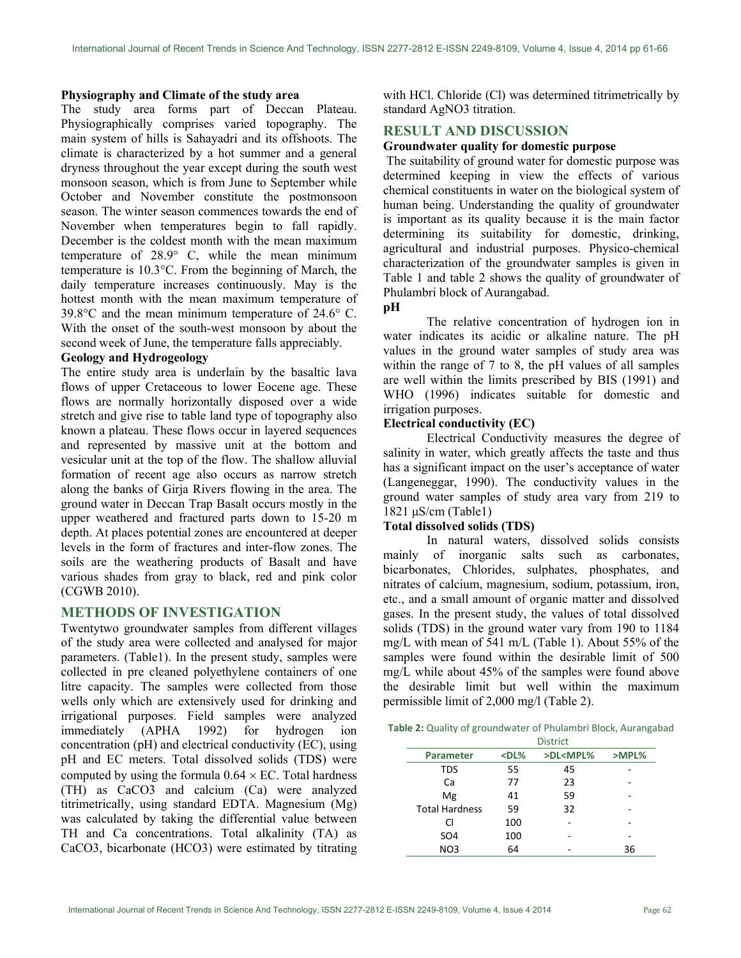#### Physiography and Climate of the study area

The study area forms part of Deccan Plateau. Physiographically comprises varied topography. The main system of hills is Sahayadri and its offshoots. The climate is characterized by a hot summer and a general dryness throughout the year except during the south west monsoon season, which is from June to September while October and November constitute the postmonsoon season. The winter season commences towards the end of November when temperatures begin to fall rapidly. December is the coldest month with the mean maximum temperature of 28.9° C, while the mean minimum temperature is 10.3°C. From the beginning of March, the daily temperature increases continuously. May is the hottest month with the mean maximum temperature of 39.8°C and the mean minimum temperature of 24.6° C. With the onset of the south-west monsoon by about the second week of June, the temperature falls appreciably.

## Geology and Hydrogeology

The entire study area is underlain by the basaltic lava flows of upper Cretaceous to lower Eocene age. These flows are normally horizontally disposed over a wide stretch and give rise to table land type of topography also known a plateau. These flows occur in layered sequences and represented by massive unit at the bottom and vesicular unit at the top of the flow. The shallow alluvial formation of recent age also occurs as narrow stretch along the banks of Girja Rivers flowing in the area. The ground water in Deccan Trap Basalt occurs mostly in the upper weathered and fractured parts down to 15-20 m depth. At places potential zones are encountered at deeper levels in the form of fractures and inter-flow zones. The soils are the weathering products of Basalt and have various shades from gray to black, red and pink color (CGWB 2010).

# METHODS OF INVESTIGATION

Twentytwo groundwater samples from different villages of the study area were collected and analysed for major parameters. (Table1). In the present study, samples were collected in pre cleaned polyethylene containers of one litre capacity. The samples were collected from those wells only which are extensively used for drinking and irrigational purposes. Field samples were analyzed immediately (APHA 1992) for hydrogen ion concentration (pH) and electrical conductivity (EC), using pH and EC meters. Total dissolved solids (TDS) were computed by using the formula  $0.64 \times EC$ . Total hardness (TH) as CaCO3 and calcium (Ca) were analyzed titrimetrically, using standard EDTA. Magnesium (Mg) was calculated by taking the differential value between TH and Ca concentrations. Total alkalinity (TA) as CaCO3, bicarbonate (HCO3) were estimated by titrating with HCl. Chloride (Cl) was determined titrimetrically by standard AgNO3 titration.

#### RESULT AND DISCUSSION

## Groundwater quality for domestic purpose

 The suitability of ground water for domestic purpose was determined keeping in view the effects of various chemical constituents in water on the biological system of human being. Understanding the quality of groundwater is important as its quality because it is the main factor determining its suitability for domestic, drinking, agricultural and industrial purposes. Physico-chemical characterization of the groundwater samples is given in Table 1 and table 2 shows the quality of groundwater of Phulambri block of Aurangabad.

#### pH

The relative concentration of hydrogen ion in water indicates its acidic or alkaline nature. The pH values in the ground water samples of study area was within the range of 7 to 8, the pH values of all samples are well within the limits prescribed by BIS (1991) and WHO (1996) indicates suitable for domestic and irrigation purposes.

# Electrical conductivity (EC)

Electrical Conductivity measures the degree of salinity in water, which greatly affects the taste and thus has a significant impact on the user's acceptance of water (Langeneggar, 1990). The conductivity values in the ground water samples of study area vary from 219 to 1821 μS/cm (Table1)

# Total dissolved solids (TDS)

In natural waters, dissolved solids consists mainly of inorganic salts such as carbonates, bicarbonates, Chlorides, sulphates, phosphates, and nitrates of calcium, magnesium, sodium, potassium, iron, etc., and a small amount of organic matter and dissolved gases. In the present study, the values of total dissolved solids (TDS) in the ground water vary from 190 to 1184 mg/L with mean of 541 m/L (Table 1). About 55% of the samples were found within the desirable limit of 500 mg/L while about 45% of the samples were found above the desirable limit but well within the maximum permissible limit of 2,000 mg/l (Table 2).

| Table 2: Quality of groundwater of Phulambri Block, Aurangabad |  |
|----------------------------------------------------------------|--|
|----------------------------------------------------------------|--|

| <b>District</b>       |                                                                          |                                            |       |  |  |  |  |  |  |
|-----------------------|--------------------------------------------------------------------------|--------------------------------------------|-------|--|--|--|--|--|--|
| <b>Parameter</b>      | <dl%< th=""><th>&gt;DL<mpl%< th=""><th>&gt;MPL%</th></mpl%<></th></dl%<> | >DL <mpl%< th=""><th>&gt;MPL%</th></mpl%<> | >MPL% |  |  |  |  |  |  |
| <b>TDS</b>            | 55                                                                       | 45                                         |       |  |  |  |  |  |  |
| Ca                    | 77                                                                       | 23                                         |       |  |  |  |  |  |  |
| Mg                    | 41                                                                       | 59                                         |       |  |  |  |  |  |  |
| <b>Total Hardness</b> | 59                                                                       | 32                                         |       |  |  |  |  |  |  |
| Cl                    | 100                                                                      |                                            |       |  |  |  |  |  |  |
| SO <sub>4</sub>       | 100                                                                      |                                            |       |  |  |  |  |  |  |
| NO <sub>3</sub>       | 64                                                                       |                                            | 36    |  |  |  |  |  |  |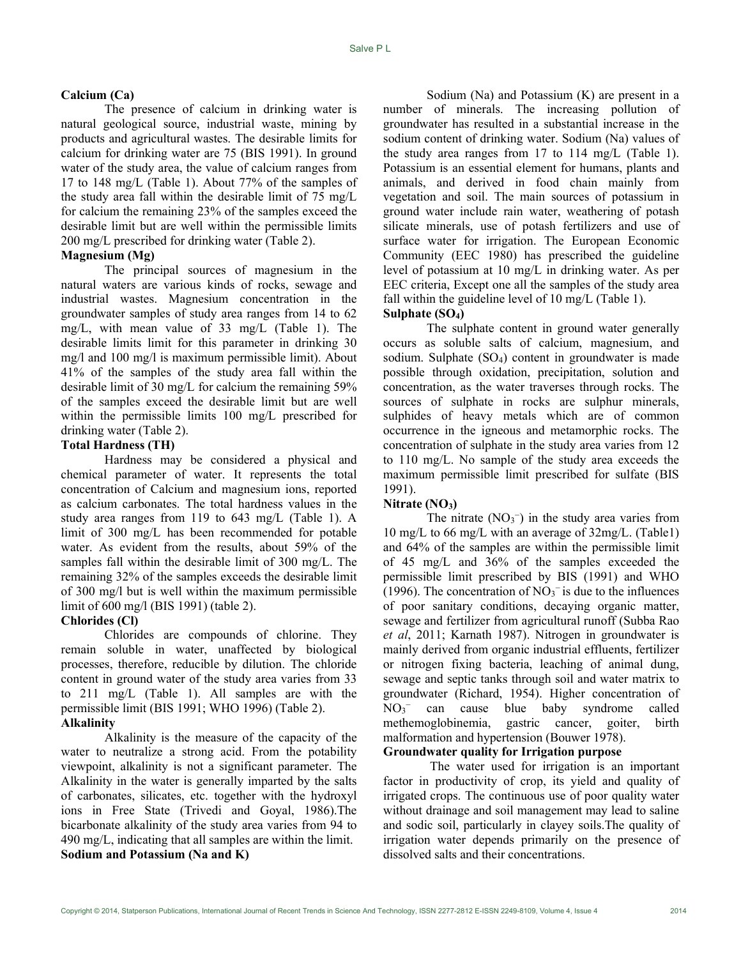## Calcium (Ca)

The presence of calcium in drinking water is natural geological source, industrial waste, mining by products and agricultural wastes. The desirable limits for calcium for drinking water are 75 (BIS 1991). In ground water of the study area, the value of calcium ranges from 17 to 148 mg/L (Table 1). About 77% of the samples of the study area fall within the desirable limit of 75 mg/L for calcium the remaining 23% of the samples exceed the desirable limit but are well within the permissible limits 200 mg/L prescribed for drinking water (Table 2).

## Magnesium (Mg)

The principal sources of magnesium in the natural waters are various kinds of rocks, sewage and industrial wastes. Magnesium concentration in the groundwater samples of study area ranges from 14 to 62 mg/L, with mean value of 33 mg/L (Table 1). The desirable limits limit for this parameter in drinking 30 mg/l and 100 mg/l is maximum permissible limit). About 41% of the samples of the study area fall within the desirable limit of 30 mg/L for calcium the remaining 59% of the samples exceed the desirable limit but are well within the permissible limits 100 mg/L prescribed for drinking water (Table 2).

# Total Hardness (TH)

Hardness may be considered a physical and chemical parameter of water. It represents the total concentration of Calcium and magnesium ions, reported as calcium carbonates. The total hardness values in the study area ranges from 119 to 643 mg/L (Table 1). A limit of 300 mg/L has been recommended for potable water. As evident from the results, about 59% of the samples fall within the desirable limit of 300 mg/L. The remaining 32% of the samples exceeds the desirable limit of 300 mg/l but is well within the maximum permissible limit of 600 mg/l (BIS 1991) (table 2).

## Chlorides (Cl)

Chlorides are compounds of chlorine. They remain soluble in water, unaffected by biological processes, therefore, reducible by dilution. The chloride content in ground water of the study area varies from 33 to 211 mg/L (Table 1). All samples are with the permissible limit (BIS 1991; WHO 1996) (Table 2). Alkalinity

Alkalinity is the measure of the capacity of the water to neutralize a strong acid. From the potability viewpoint, alkalinity is not a significant parameter. The Alkalinity in the water is generally imparted by the salts of carbonates, silicates, etc. together with the hydroxyl ions in Free State (Trivedi and Goyal, 1986).The bicarbonate alkalinity of the study area varies from 94 to 490 mg/L, indicating that all samples are within the limit. Sodium and Potassium (Na and K)

Sodium (Na) and Potassium (K) are present in a number of minerals. The increasing pollution of groundwater has resulted in a substantial increase in the sodium content of drinking water. Sodium (Na) values of the study area ranges from 17 to 114 mg/L (Table 1). Potassium is an essential element for humans, plants and animals, and derived in food chain mainly from vegetation and soil. The main sources of potassium in ground water include rain water, weathering of potash silicate minerals, use of potash fertilizers and use of surface water for irrigation. The European Economic Community (EEC 1980) has prescribed the guideline level of potassium at 10 mg/L in drinking water. As per EEC criteria, Except one all the samples of the study area fall within the guideline level of 10 mg/L (Table 1).

# Sulphate  $(SO<sub>4</sub>)$

The sulphate content in ground water generally occurs as soluble salts of calcium, magnesium, and sodium. Sulphate  $(SO<sub>4</sub>)$  content in groundwater is made possible through oxidation, precipitation, solution and concentration, as the water traverses through rocks. The sources of sulphate in rocks are sulphur minerals, sulphides of heavy metals which are of common occurrence in the igneous and metamorphic rocks. The concentration of sulphate in the study area varies from 12 to 110 mg/L. No sample of the study area exceeds the maximum permissible limit prescribed for sulfate (BIS 1991).

# Nitrate  $(NO<sub>3</sub>)$

The nitrate  $(NO<sub>3</sub><sup>-</sup>)$  in the study area varies from 10 mg/L to 66 mg/L with an average of 32mg/L. (Table1) and 64% of the samples are within the permissible limit of 45 mg/L and 36% of the samples exceeded the permissible limit prescribed by BIS (1991) and WHO (1996). The concentration of  $NO<sub>3</sub><sup>-</sup>$  is due to the influences of poor sanitary conditions, decaying organic matter, sewage and fertilizer from agricultural runoff (Subba Rao et al, 2011; Karnath 1987). Nitrogen in groundwater is mainly derived from organic industrial effluents, fertilizer or nitrogen fixing bacteria, leaching of animal dung, sewage and septic tanks through soil and water matrix to groundwater (Richard, 1954). Higher concentration of  $NO<sub>3</sub>$  can cause blue baby syndrome called methemoglobinemia, gastric cancer, goiter, birth malformation and hypertension (Bouwer 1978).

# Groundwater quality for Irrigation purpose

 The water used for irrigation is an important factor in productivity of crop, its yield and quality of irrigated crops. The continuous use of poor quality water without drainage and soil management may lead to saline and sodic soil, particularly in clayey soils.The quality of irrigation water depends primarily on the presence of dissolved salts and their concentrations.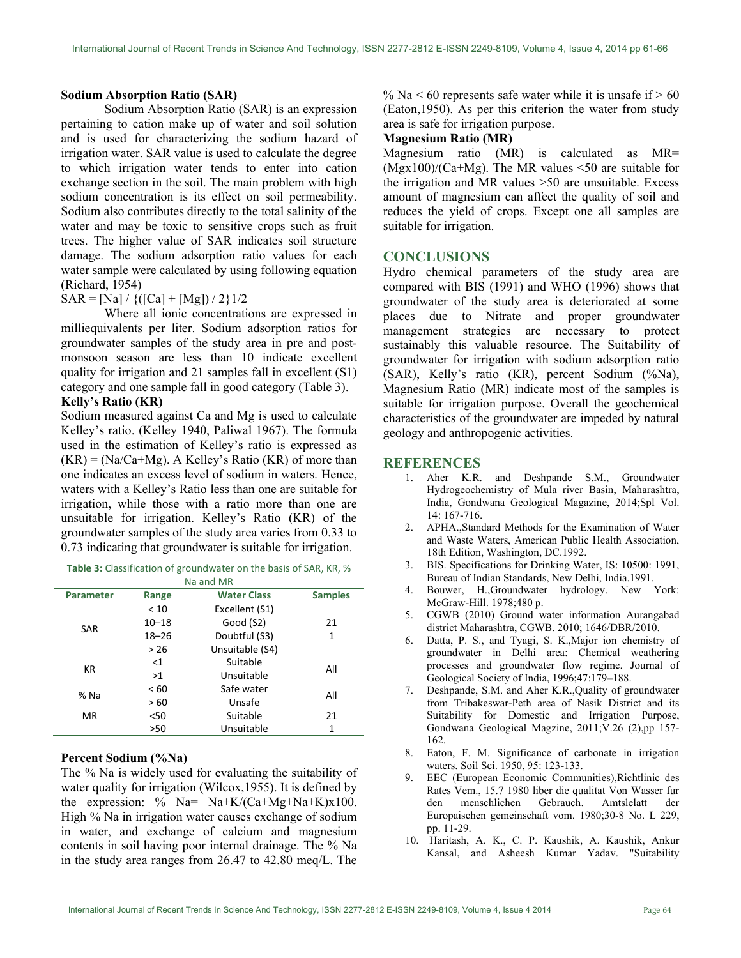#### Sodium Absorption Ratio (SAR)

Sodium Absorption Ratio (SAR) is an expression pertaining to cation make up of water and soil solution and is used for characterizing the sodium hazard of irrigation water. SAR value is used to calculate the degree to which irrigation water tends to enter into cation exchange section in the soil. The main problem with high sodium concentration is its effect on soil permeability. Sodium also contributes directly to the total salinity of the water and may be toxic to sensitive crops such as fruit trees. The higher value of SAR indicates soil structure damage. The sodium adsorption ratio values for each water sample were calculated by using following equation (Richard, 1954)

# $SAR = [Na]/ {([Ca] + [Mg])}/2}1/2$

Where all ionic concentrations are expressed in milliequivalents per liter. Sodium adsorption ratios for groundwater samples of the study area in pre and postmonsoon season are less than 10 indicate excellent quality for irrigation and 21 samples fall in excellent (S1) category and one sample fall in good category (Table 3).

## Kelly's Ratio (KR)

Sodium measured against Ca and Mg is used to calculate Kelley's ratio. (Kelley 1940, Paliwal 1967). The formula used in the estimation of Kelley's ratio is expressed as  $(KR) = (Na/Ca+Mg)$ . A Kelley's Ratio  $(KR)$  of more than one indicates an excess level of sodium in waters. Hence, waters with a Kelley's Ratio less than one are suitable for irrigation, while those with a ratio more than one are unsuitable for irrigation. Kelley's Ratio (KR) of the groundwater samples of the study area varies from 0.33 to 0.73 indicating that groundwater is suitable for irrigation.

Table 3: Classification of groundwater on the basis of SAR, KR, % Na and MR

| Nd dilu MR       |           |                 |     |  |  |  |  |  |
|------------------|-----------|-----------------|-----|--|--|--|--|--|
| <b>Parameter</b> | Range     | <b>Samples</b>  |     |  |  |  |  |  |
|                  | < 10      | Excellent (S1)  |     |  |  |  |  |  |
| <b>SAR</b>       | $10 - 18$ | Good (S2)       | 21  |  |  |  |  |  |
|                  | $18 - 26$ | Doubtful (S3)   | 1   |  |  |  |  |  |
|                  | > 26      | Unsuitable (S4) |     |  |  |  |  |  |
| KR.              | $<$ 1     | Suitable        | All |  |  |  |  |  |
|                  | >1        | Unsuitable      |     |  |  |  |  |  |
| % Na             | < 60      | Safe water      | All |  |  |  |  |  |
|                  | >60       | Unsafe          |     |  |  |  |  |  |
| MR               | < 50      | Suitable        | 21  |  |  |  |  |  |
|                  | >50       | Unsuitable      | 1   |  |  |  |  |  |

## Percent Sodium (%Na)

The % Na is widely used for evaluating the suitability of water quality for irrigation (Wilcox, 1955). It is defined by the expression: % Na= Na+K/(Ca+Mg+Na+K)x100. High % Na in irrigation water causes exchange of sodium in water, and exchange of calcium and magnesium contents in soil having poor internal drainage. The % Na in the study area ranges from 26.47 to 42.80 meq/L. The

% Na  $\leq 60$  represents safe water while it is unsafe if  $\geq 60$ (Eaton,1950). As per this criterion the water from study area is safe for irrigation purpose.

## Magnesium Ratio (MR)

Magnesium ratio (MR) is calculated as MR=  $(Mgx100)/(Ca+Mg)$ . The MR values <50 are suitable for the irrigation and MR values >50 are unsuitable. Excess amount of magnesium can affect the quality of soil and reduces the yield of crops. Except one all samples are suitable for irrigation.

## **CONCLUSIONS**

Hydro chemical parameters of the study area are compared with BIS (1991) and WHO (1996) shows that groundwater of the study area is deteriorated at some places due to Nitrate and proper groundwater management strategies are necessary to protect sustainably this valuable resource. The Suitability of groundwater for irrigation with sodium adsorption ratio (SAR), Kelly's ratio (KR), percent Sodium (%Na), Magnesium Ratio (MR) indicate most of the samples is suitable for irrigation purpose. Overall the geochemical characteristics of the groundwater are impeded by natural geology and anthropogenic activities.

## **REFERENCES**

- 1. Aher K.R. and Deshpande S.M., Groundwater Hydrogeochemistry of Mula river Basin, Maharashtra, India, Gondwana Geological Magazine, 2014;Spl Vol. 14: 167-716.
- 2. APHA.,Standard Methods for the Examination of Water and Waste Waters, American Public Health Association, 18th Edition, Washington, DC.1992.
- 3. BIS. Specifications for Drinking Water, IS: 10500: 1991, Bureau of Indian Standards, New Delhi, India.1991.
- 4. Bouwer, H.,Groundwater hydrology. New York: McGraw-Hill. 1978;480 p.
- 5. CGWB (2010) Ground water information Aurangabad district Maharashtra, CGWB. 2010; 1646/DBR/2010.
- 6. Datta, P. S., and Tyagi, S. K.,Major ion chemistry of groundwater in Delhi area: Chemical weathering processes and groundwater flow regime. Journal of Geological Society of India, 1996;47:179–188.
- 7. Deshpande, S.M. and Aher K.R.,Quality of groundwater from Tribakeswar-Peth area of Nasik District and its Suitability for Domestic and Irrigation Purpose, Gondwana Geological Magzine, 2011;V.26 (2),pp 157- 162.
- 8. Eaton, F. M. Significance of carbonate in irrigation waters. Soil Sci. 1950, 95: 123-133.
- 9. EEC (European Economic Communities),Richtlinic des Rates Vem., 15.7 1980 liber die qualitat Von Wasser fur den menschlichen Gebrauch. Amtslelatt der Europaischen gemeinschaft vom. 1980;30-8 No. L 229, pp. 11-29.
- 10. Haritash, A. K., C. P. Kaushik, A. Kaushik, Ankur Kansal, and Asheesh Kumar Yadav. "Suitability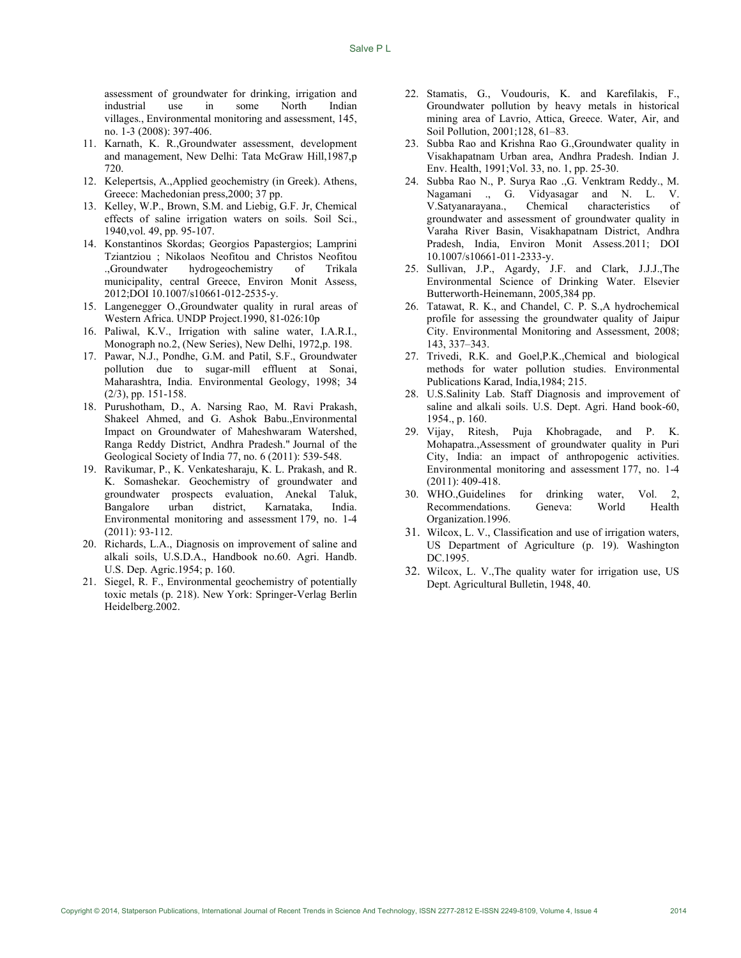assessment of groundwater for drinking, irrigation and industrial use in some North Indian villages., Environmental monitoring and assessment, 145, no. 1-3 (2008): 397-406.

- 11. Karnath, K. R.,Groundwater assessment, development and management, New Delhi: Tata McGraw Hill,1987,p 720.
- 12. Kelepertsis, Α.,Applied geochemistry (in Greek). Athens, Greece: Machedonian press,2000; 37 pp.
- 13. Kelley, W.P., Brown, S.M. and Liebig, G.F. Jr, Chemical effects of saline irrigation waters on soils. Soil Sci., 1940,vol. 49, pp. 95-107.
- 14. Konstantinos Skordas; Georgios Papastergios; Lamprini Tziantziou ; Nikolaos Neofitou and Christos Neofitou .,Groundwater hydrogeochemistry of Trikala municipality, central Greece, Environ Monit Assess, 2012;DOI 10.1007/s10661-012-2535-y.
- 15. Langenegger O.,Groundwater quality in rural areas of Western Africa. UNDP Project.1990, 81-026:10p
- 16. Paliwal, K.V., Irrigation with saline water, I.A.R.I., Monograph no.2, (New Series), New Delhi, 1972,p. 198.
- 17. Pawar, N.J., Pondhe, G.M. and Patil, S.F., Groundwater pollution due to sugar-mill effluent at Sonai, Maharashtra, India. Environmental Geology, 1998; 34 (2/3), pp. 151-158.
- 18. Purushotham, D., A. Narsing Rao, M. Ravi Prakash, Shakeel Ahmed, and G. Ashok Babu.,Environmental Impact on Groundwater of Maheshwaram Watershed, Ranga Reddy District, Andhra Pradesh." Journal of the Geological Society of India 77, no. 6 (2011): 539-548.
- 19. Ravikumar, P., K. Venkatesharaju, K. L. Prakash, and R. K. Somashekar. Geochemistry of groundwater and groundwater prospects evaluation, Anekal Taluk, Bangalore urban district, Karnataka, India. Environmental monitoring and assessment 179, no. 1-4 (2011): 93-112.
- 20. Richards, L.A., Diagnosis on improvement of saline and alkali soils, U.S.D.A., Handbook no.60. Agri. Handb. U.S. Dep. Agric.1954; p. 160.
- 21. Siegel, R. F., Environmental geochemistry of potentially toxic metals (p. 218). New York: Springer-Verlag Berlin Heidelberg.2002.
- 22. Stamatis, G., Voudouris, K. and Karefilakis, F., Groundwater pollution by heavy metals in historical mining area of Lavrio, Attica, Greece. Water, Air, and Soil Pollution, 2001;128, 61–83.
- 23. Subba Rao and Krishna Rao G.,Groundwater quality in Visakhapatnam Urban area, Andhra Pradesh. Indian J. Env. Health, 1991;Vol. 33, no. 1, pp. 25-30.
- 24. Subba Rao N., P. Surya Rao .,G. Venktram Reddy., M. Nagamani ., G. Vidyasagar and N. L. V. V.Satyanarayana., Chemical characteristics of groundwater and assessment of groundwater quality in Varaha River Basin, Visakhapatnam District, Andhra Pradesh, India, Environ Monit Assess.2011; DOI 10.1007/s10661-011-2333-y.
- 25. Sullivan, J.P., Agardy, J.F. and Clark, J.J.J.,The Environmental Science of Drinking Water. Elsevier Butterworth-Heinemann, 2005,384 pp.
- 26. Tatawat, R. K., and Chandel, C. P. S.,A hydrochemical profile for assessing the groundwater quality of Jaipur City. Environmental Monitoring and Assessment, 2008; 143, 337–343.
- 27. Trivedi, R.K. and Goel,P.K.,Chemical and biological methods for water pollution studies. Environmental Publications Karad, India,1984; 215.
- 28. U.S.Salinity Lab. Staff Diagnosis and improvement of saline and alkali soils. U.S. Dept. Agri. Hand book-60, 1954., p. 160.
- 29. Vijay, Ritesh, Puja Khobragade, and P. K. Mohapatra.,Assessment of groundwater quality in Puri City, India: an impact of anthropogenic activities. Environmental monitoring and assessment 177, no. 1-4 (2011): 409-418.
- 30. WHO.,Guidelines for drinking water, Vol. 2, Recommendations. Geneva: World Health Organization.1996.
- 31. Wilcox, L. V., Classification and use of irrigation waters, US Department of Agriculture (p. 19). Washington DC.1995.
- 32. Wilcox, L. V.,The quality water for irrigation use, US Dept. Agricultural Bulletin, 1948, 40.